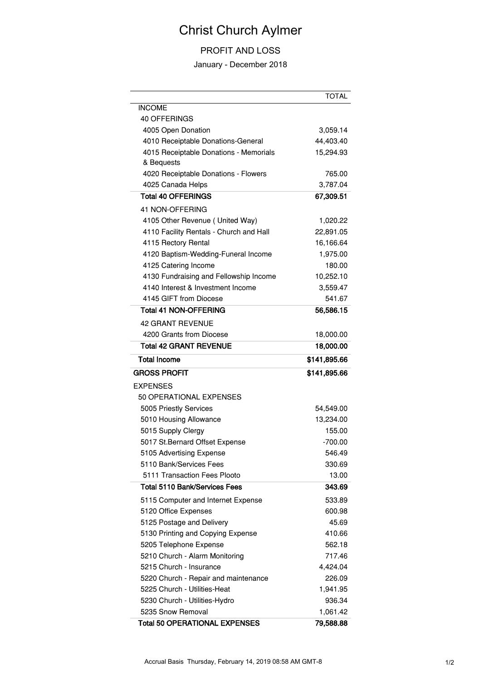## Christ Church Aylmer

## PROFIT AND LOSS

January - December 2018

|                                                      | TOTAL        |
|------------------------------------------------------|--------------|
| <b>INCOME</b>                                        |              |
| 40 OFFERINGS                                         |              |
| 4005 Open Donation                                   | 3,059.14     |
| 4010 Receiptable Donations-General                   | 44,403.40    |
| 4015 Receiptable Donations - Memorials<br>& Bequests | 15,294.93    |
| 4020 Receiptable Donations - Flowers                 | 765.00       |
| 4025 Canada Helps                                    | 3,787.04     |
| <b>Total 40 OFFERINGS</b>                            | 67,309.51    |
| 41 NON-OFFERING                                      |              |
| 4105 Other Revenue ( United Way)                     | 1,020.22     |
| 4110 Facility Rentals - Church and Hall              | 22,891.05    |
| 4115 Rectory Rental                                  | 16,166.64    |
| 4120 Baptism-Wedding-Funeral Income                  | 1,975.00     |
| 4125 Catering Income                                 | 180.00       |
| 4130 Fundraising and Fellowship Income               | 10,252.10    |
| 4140 Interest & Investment Income                    | 3,559.47     |
| 4145 GIFT from Diocese                               | 541.67       |
| <b>Total 41 NON-OFFERING</b>                         | 56,586.15    |
| <b>42 GRANT REVENUE</b>                              |              |
| 4200 Grants from Diocese                             | 18,000.00    |
| <b>Total 42 GRANT REVENUE</b>                        | 18,000.00    |
| <b>Total Income</b>                                  | \$141,895.66 |
| <b>GROSS PROFIT</b>                                  | \$141,895.66 |
| <b>EXPENSES</b>                                      |              |
| 50 OPERATIONAL EXPENSES                              |              |
| 5005 Priestly Services                               | 54,549.00    |
| 5010 Housing Allowance                               | 13,234.00    |
| 5015 Supply Clergy                                   | 155.00       |
| 5017 St. Bernard Offset Expense                      | $-700.00$    |
| 5105 Advertising Expense                             | 546.49       |
| 5110 Bank/Services Fees                              | 330.69       |
| 5111 Transaction Fees Plooto                         | 13.00        |
| Total 5110 Bank/Services Fees                        | 343.69       |
| 5115 Computer and Internet Expense                   | 533.89       |
| 5120 Office Expenses                                 | 600.98       |
| 5125 Postage and Delivery                            | 45.69        |
| 5130 Printing and Copying Expense                    | 410.66       |
| 5205 Telephone Expense                               | 562.18       |
| 5210 Church - Alarm Monitoring                       | 717.46       |
| 5215 Church - Insurance                              | 4,424.04     |
| 5220 Church - Repair and maintenance                 | 226.09       |
| 5225 Church - Utilities-Heat                         | 1,941.95     |
| 5230 Church - Utilities-Hydro                        | 936.34       |
| 5235 Snow Removal                                    | 1,061.42     |
|                                                      |              |
| <b>Total 50 OPERATIONAL EXPENSES</b>                 | 79,588.88    |